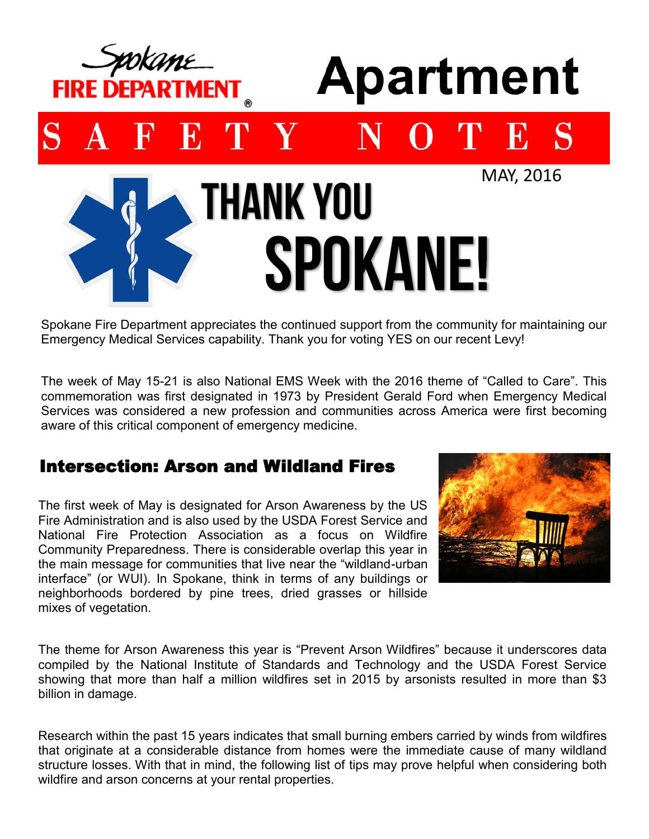

Spokane Fire Department appreciates the continued support from the community for maintaining our Emergency Medical Services capability. Thank you for voting YES on our recent Levy!

The week of May 15-21 is also National EMS Week with the 2016 theme of "Called to Care". This commemoration was first designated in 1973 by President Gerald Ford when Emergency Medical Services was considered a new profession and communities across America were first becoming aware of this critical component of emergency medicine.

## Intersection: Arson and Wildland Fires

The first week of May is designated for Arson Awareness by the US Fire Administration and is also used by the USDA Forest Service and National Fire Protection Association as a focus on Wildfire Community Preparedness. There is considerable overlap this year in the main message for communities that live near the "wildland-urban interface" (or WUI). In Spokane, think in terms of any buildings or neighborhoods bordered by pine trees, dried grasses or hillside mixes of vegetation.



The theme for Arson Awareness this year is "Prevent Arson Wildfires" because it underscores data compiled by the National Institute of Standards and Technology and the USDA Forest Service showing that more than half a million wildfires set in 2015 by arsonists resulted in more than \$3 billion in damage.

Research within the past 15 years indicates that small burning embers carried by winds from wildfires that originate at a considerable distance from homes were the immediate cause of many wildland structure losses. With that in mind, the following list of tips may prove helpful when considering both wildfire and arson concerns at your rental properties.